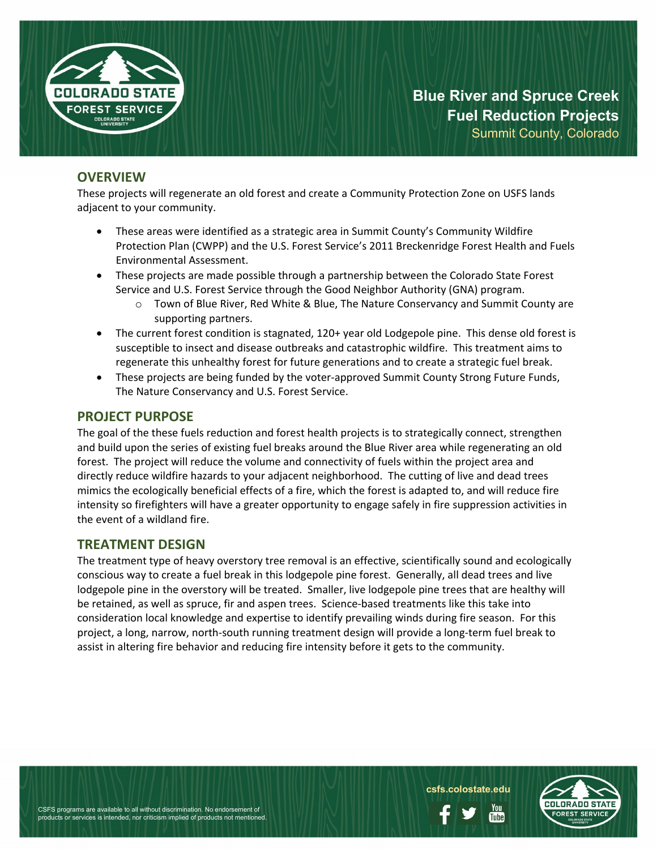

**Blue River and Spruce Creek Fuel Reduction Projects** Summit County, Colorado

**OVERVIEW**

These projects will regenerate an old forest and create a Community Protection Zone on USFS lands adjacent to your community.

- These areas were identified as a strategic area in Summit County's Community Wildfire Protection Plan (CWPP) and the U.S. Forest Service's 2011 Breckenridge Forest Health and Fuels Environmental Assessment.
- These projects are made possible through a partnership between the Colorado State Forest Service and U.S. Forest Service through the Good Neighbor Authority (GNA) program.
	- $\circ$  Town of Blue River, Red White & Blue, The Nature Conservancy and Summit County are supporting partners.
- The current forest condition is stagnated, 120+ year old Lodgepole pine. This dense old forest is susceptible to insect and disease outbreaks and catastrophic wildfire. This treatment aims to regenerate this unhealthy forest for future generations and to create a strategic fuel break.
- These projects are being funded by the voter-approved Summit County Strong Future Funds, The Nature Conservancy and U.S. Forest Service.

## **PROJECT PURPOSE**

The goal of the these fuels reduction and forest health projects is to strategically connect, strengthen and build upon the series of existing fuel breaks around the Blue River area while regenerating an old forest. The project will reduce the volume and connectivity of fuels within the project area and directly reduce wildfire hazards to your adjacent neighborhood. The cutting of live and dead trees mimics the ecologically beneficial effects of a fire, which the forest is adapted to, and will reduce fire intensity so firefighters will have a greater opportunity to engage safely in fire suppression activities in the event of a wildland fire.

### **TREATMENT DESIGN**

The treatment type of heavy overstory tree removal is an effective, scientifically sound and ecologically conscious way to create a fuel break in this lodgepole pine forest. Generally, all dead trees and live lodgepole pine in the overstory will be treated. Smaller, live lodgepole pine trees that are healthy will be retained, as well as spruce, fir and aspen trees. Science-based treatments like this take into consideration local knowledge and expertise to identify prevailing winds during fire season. For this project, a long, narrow, north-south running treatment design will provide a long-term fuel break to assist in altering fire behavior and reducing fire intensity before it gets to the community.



**csfs.colostate.edu**

Ynıı